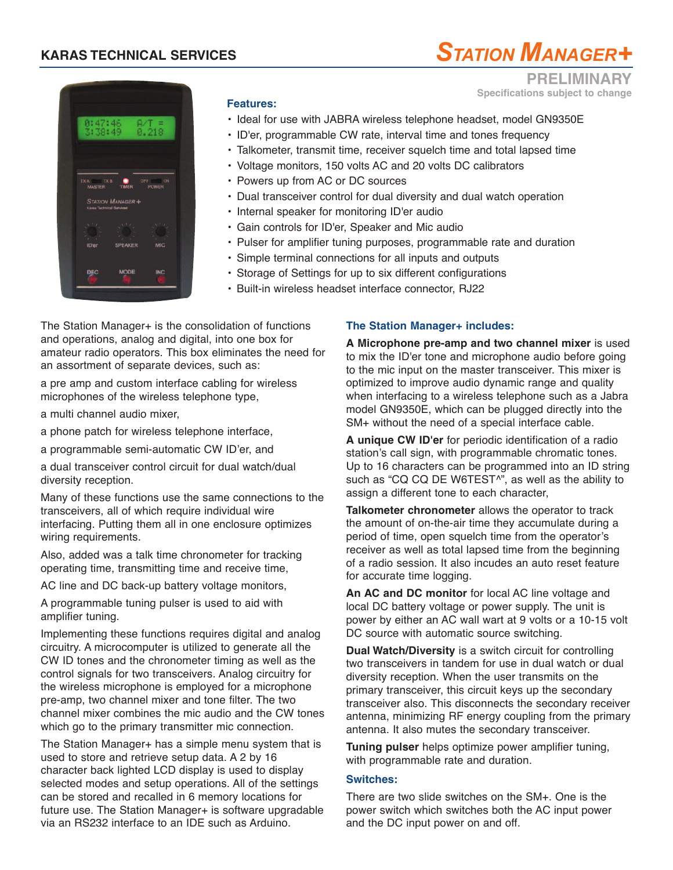# **KARAS TECHNICAL SERVICES**



**PRELIMINARY**

**Specifications subject to change**



### **Features:**

- Ideal for use with JABRA wireless telephone headset, model GN9350E
- ID'er, programmable CW rate, interval time and tones frequency
- Talkometer, transmit time, receiver squelch time and total lapsed time
- Voltage monitors, 150 volts AC and 20 volts DC calibrators
- Powers up from AC or DC sources
- Dual transceiver control for dual diversity and dual watch operation
- Internal speaker for monitoring ID'er audio
- Gain controls for ID'er, Speaker and Mic audio
- Pulser for amplifier tuning purposes, programmable rate and duration
- Simple terminal connections for all inputs and outputs
- Storage of Settings for up to six different configurations
- Built-in wireless headset interface connector, RJ22

The Station Manager+ is the consolidation of functions and operations, analog and digital, into one box for amateur radio operators. This box eliminates the need for an assortment of separate devices, such as:

a pre amp and custom interface cabling for wireless microphones of the wireless telephone type,

a multi channel audio mixer,

a phone patch for wireless telephone interface,

a programmable semi-automatic CW ID'er, and

a dual transceiver control circuit for dual watch/dual diversity reception.

Many of these functions use the same connections to the transceivers, all of which require individual wire interfacing. Putting them all in one enclosure optimizes wiring requirements.

Also, added was a talk time chronometer for tracking operating time, transmitting time and receive time,

AC line and DC back-up battery voltage monitors,

A programmable tuning pulser is used to aid with amplifier tuning.

Implementing these functions requires digital and analog circuitry. A microcomputer is utilized to generate all the CW ID tones and the chronometer timing as well as the control signals for two transceivers. Analog circuitry for the wireless microphone is employed for a microphone pre-amp, two channel mixer and tone filter. The two channel mixer combines the mic audio and the CW tones which go to the primary transmitter mic connection.

The Station Manager+ has a simple menu system that is used to store and retrieve setup data. A 2 by 16 character back lighted LCD display is used to display selected modes and setup operations. All of the settings can be stored and recalled in 6 memory locations for future use. The Station Manager+ is software upgradable via an RS232 interface to an IDE such as Arduino.

### **The Station Manager+ includes:**

**A Microphone pre-amp and two channel mixer** is used to mix the ID'er tone and microphone audio before going to the mic input on the master transceiver. This mixer is optimized to improve audio dynamic range and quality when interfacing to a wireless telephone such as a Jabra model GN9350E, which can be plugged directly into the SM+ without the need of a special interface cable.

**A unique CW ID'er** for periodic identification of a radio station's call sign, with programmable chromatic tones. Up to 16 characters can be programmed into an ID string such as "CQ CQ DE W6TEST<sup>^</sup>", as well as the ability to assign a different tone to each character,

**Talkometer chronometer** allows the operator to track the amount of on-the-air time they accumulate during a period of time, open squelch time from the operator's receiver as well as total lapsed time from the beginning of a radio session. It also incudes an auto reset feature for accurate time logging.

**An AC and DC monitor** for local AC line voltage and local DC battery voltage or power supply. The unit is power by either an AC wall wart at 9 volts or a 10-15 volt DC source with automatic source switching.

**Dual Watch/Diversity** is a switch circuit for controlling two transceivers in tandem for use in dual watch or dual diversity reception. When the user transmits on the primary transceiver, this circuit keys up the secondary transceiver also. This disconnects the secondary receiver antenna, minimizing RF energy coupling from the primary antenna. It also mutes the secondary transceiver.

**Tuning pulser** helps optimize power amplifier tuning, with programmable rate and duration.

#### **Switches:**

There are two slide switches on the SM+. One is the power switch which switches both the AC input power and the DC input power on and off.